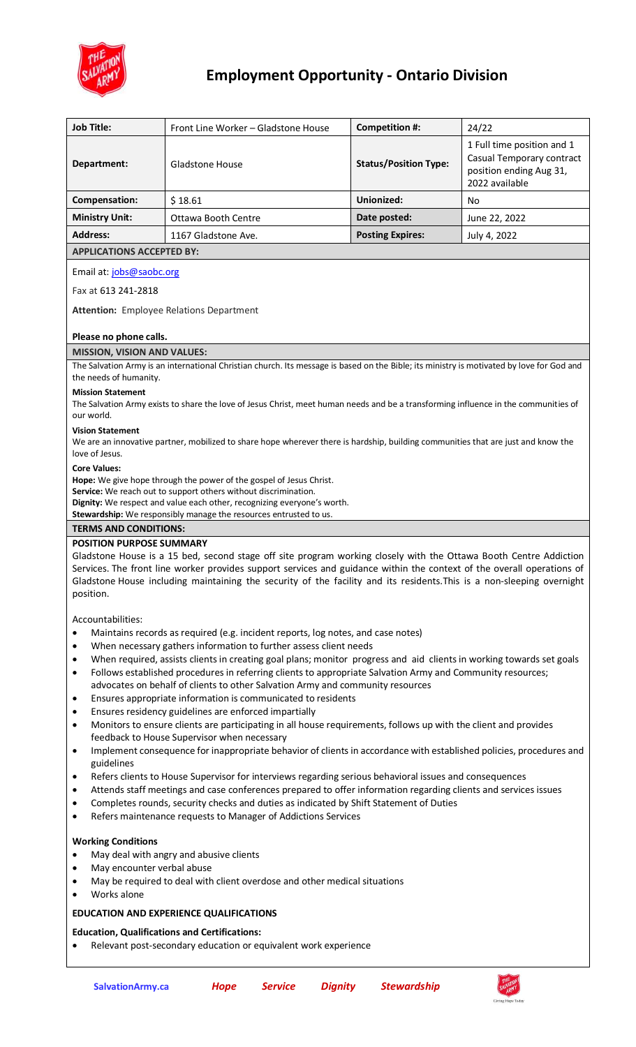

## **Employment Opportunity - Ontario Division**

| <b>Job Title:</b>                                                                                                                                                                                                                                                                                                                                                                  | Front Line Worker - Gladstone House     |                |                | Competition #:               | 24/22                                                                  |
|------------------------------------------------------------------------------------------------------------------------------------------------------------------------------------------------------------------------------------------------------------------------------------------------------------------------------------------------------------------------------------|-----------------------------------------|----------------|----------------|------------------------------|------------------------------------------------------------------------|
|                                                                                                                                                                                                                                                                                                                                                                                    |                                         |                |                |                              | 1 Full time position and 1                                             |
| Department:                                                                                                                                                                                                                                                                                                                                                                        | Gladstone House                         |                |                | <b>Status/Position Type:</b> | Casual Temporary contract<br>position ending Aug 31,<br>2022 available |
| Compensation:                                                                                                                                                                                                                                                                                                                                                                      | \$18.61                                 |                |                | Unionized:                   | No                                                                     |
| <b>Ministry Unit:</b>                                                                                                                                                                                                                                                                                                                                                              | <b>Ottawa Booth Centre</b>              |                |                | Date posted:                 | June 22, 2022                                                          |
| <b>Address:</b>                                                                                                                                                                                                                                                                                                                                                                    | 1167 Gladstone Ave.                     |                |                | <b>Posting Expires:</b>      | July 4, 2022                                                           |
| <b>APPLICATIONS ACCEPTED BY:</b>                                                                                                                                                                                                                                                                                                                                                   |                                         |                |                |                              |                                                                        |
| Email at: jobs@saobc.org                                                                                                                                                                                                                                                                                                                                                           |                                         |                |                |                              |                                                                        |
| Fax at 613 241-2818                                                                                                                                                                                                                                                                                                                                                                |                                         |                |                |                              |                                                                        |
| <b>Attention:</b> Employee Relations Department                                                                                                                                                                                                                                                                                                                                    |                                         |                |                |                              |                                                                        |
| Please no phone calls.                                                                                                                                                                                                                                                                                                                                                             |                                         |                |                |                              |                                                                        |
| <b>MISSION, VISION AND VALUES:</b>                                                                                                                                                                                                                                                                                                                                                 |                                         |                |                |                              |                                                                        |
| The Salvation Army is an international Christian church. Its message is based on the Bible; its ministry is motivated by love for God and<br>the needs of humanity.                                                                                                                                                                                                                |                                         |                |                |                              |                                                                        |
| <b>Mission Statement</b><br>The Salvation Army exists to share the love of Jesus Christ, meet human needs and be a transforming influence in the communities of<br>our world.                                                                                                                                                                                                      |                                         |                |                |                              |                                                                        |
| <b>Vision Statement</b><br>We are an innovative partner, mobilized to share hope wherever there is hardship, building communities that are just and know the<br>love of Jesus.                                                                                                                                                                                                     |                                         |                |                |                              |                                                                        |
| <b>Core Values:</b><br>Hope: We give hope through the power of the gospel of Jesus Christ.<br>Service: We reach out to support others without discrimination.<br>Dignity: We respect and value each other, recognizing everyone's worth.<br>Stewardship: We responsibly manage the resources entrusted to us.                                                                      |                                         |                |                |                              |                                                                        |
| <b>TERMS AND CONDITIONS:</b>                                                                                                                                                                                                                                                                                                                                                       |                                         |                |                |                              |                                                                        |
| <b>POSITION PURPOSE SUMMARY</b>                                                                                                                                                                                                                                                                                                                                                    |                                         |                |                |                              |                                                                        |
| Gladstone House is a 15 bed, second stage off site program working closely with the Ottawa Booth Centre Addiction<br>Services. The front line worker provides support services and guidance within the context of the overall operations of<br>Gladstone House including maintaining the security of the facility and its residents. This is a non-sleeping overnight<br>position. |                                         |                |                |                              |                                                                        |
|                                                                                                                                                                                                                                                                                                                                                                                    |                                         |                |                |                              |                                                                        |
| Accountabilities:<br>Maintains records as required (e.g. incident reports, log notes, and case notes)<br>$\bullet$                                                                                                                                                                                                                                                                 |                                         |                |                |                              |                                                                        |
| When necessary gathers information to further assess client needs<br>$\bullet$                                                                                                                                                                                                                                                                                                     |                                         |                |                |                              |                                                                        |
| When required, assists clients in creating goal plans; monitor progress and aid clients in working towards set goals<br>$\bullet$                                                                                                                                                                                                                                                  |                                         |                |                |                              |                                                                        |
| Follows established procedures in referring clients to appropriate Salvation Army and Community resources;<br>$\bullet$<br>advocates on behalf of clients to other Salvation Army and community resources                                                                                                                                                                          |                                         |                |                |                              |                                                                        |
| Ensures appropriate information is communicated to residents<br>٠<br>Ensures residency guidelines are enforced impartially<br>٠                                                                                                                                                                                                                                                    |                                         |                |                |                              |                                                                        |
| Monitors to ensure clients are participating in all house requirements, follows up with the client and provides<br>$\bullet$<br>feedback to House Supervisor when necessary                                                                                                                                                                                                        |                                         |                |                |                              |                                                                        |
| Implement consequence for inappropriate behavior of clients in accordance with established policies, procedures and<br>$\bullet$<br>guidelines                                                                                                                                                                                                                                     |                                         |                |                |                              |                                                                        |
| Refers clients to House Supervisor for interviews regarding serious behavioral issues and consequences<br>٠                                                                                                                                                                                                                                                                        |                                         |                |                |                              |                                                                        |
| Attends staff meetings and case conferences prepared to offer information regarding clients and services issues<br>٠                                                                                                                                                                                                                                                               |                                         |                |                |                              |                                                                        |
| Completes rounds, security checks and duties as indicated by Shift Statement of Duties<br>$\bullet$<br>Refers maintenance requests to Manager of Addictions Services<br>$\bullet$                                                                                                                                                                                                  |                                         |                |                |                              |                                                                        |
| <b>Working Conditions</b>                                                                                                                                                                                                                                                                                                                                                          |                                         |                |                |                              |                                                                        |
| ٠                                                                                                                                                                                                                                                                                                                                                                                  | May deal with angry and abusive clients |                |                |                              |                                                                        |
| May encounter verbal abuse<br>$\bullet$                                                                                                                                                                                                                                                                                                                                            |                                         |                |                |                              |                                                                        |
| May be required to deal with client overdose and other medical situations<br>$\bullet$<br>Works alone                                                                                                                                                                                                                                                                              |                                         |                |                |                              |                                                                        |
| <b>EDUCATION AND EXPERIENCE QUALIFICATIONS</b>                                                                                                                                                                                                                                                                                                                                     |                                         |                |                |                              |                                                                        |
| <b>Education, Qualifications and Certifications:</b><br>Relevant post-secondary education or equivalent work experience                                                                                                                                                                                                                                                            |                                         |                |                |                              |                                                                        |
|                                                                                                                                                                                                                                                                                                                                                                                    |                                         |                |                |                              |                                                                        |
| SalvationArmy.ca                                                                                                                                                                                                                                                                                                                                                                   | <b>Hope</b>                             | <b>Service</b> | <b>Dignity</b> | <b>Stewardship</b>           |                                                                        |